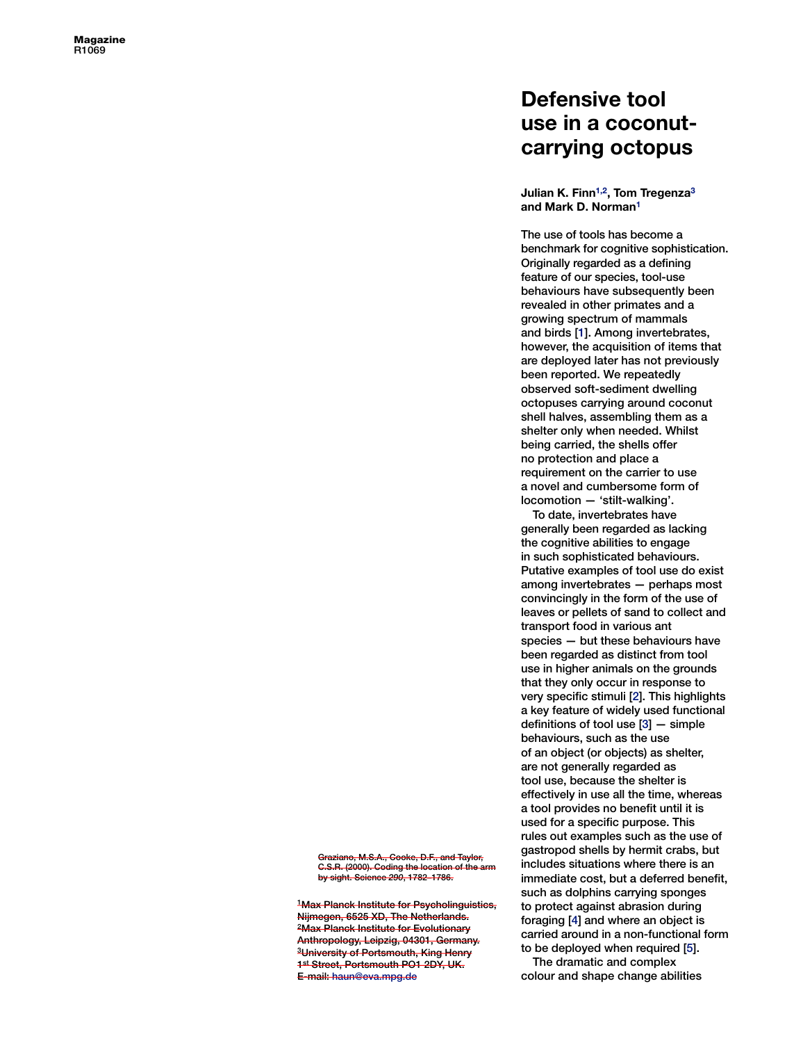## **Defensive tool use in a coconutcarrying octopus**

**Julian K. Fin[n1](#page-1-0),[2,](#page-1-0) Tom Tregenza [3](#page-1-0)  and Mark D. Norman [1](#page-1-0)**

The use of tools has become a benchmark for cognitive sophistication. Originally regarded as a defining feature of our species, tool-use behaviours have subsequently been revealed in other primates and a growing spectrum of mammals and birds [ [1\].](#page-1-0) Among invertebrates, however, the acquisition of items that are deployed later has not previously been reported. We repeatedly observed soft-sediment dwelling octopuses carrying around coconut shell halves, assembling them as a shelter only when needed. Whilst being carried, the shells offer no protection and place a requirement on the carrier to use a novel and cumbersome form of locomotion — 'stilt-walking'.

To date, invertebrates have generally been regarded as lacking the cognitive abilities to engage in such sophisticated behaviours. Putative examples of tool use do exist among invertebrates — perhaps most convincingly in the form of the use of leaves or pellets of sand to collect and transport food in various ant species — but these behaviours have been regarded as distinct from tool use in higher animals on the grounds that they only occur in response to very specific stimuli [ [2\]](#page-1-0). This highlights a key feature of widely used functional definitions of tool use [ [3\]](#page-1-0) — simple behaviours, such as the use of an object (or objects) as shelter, are not generally regarded as tool use, because the shelter is effectively in use all the time, whereas a tool provides no benefit until it is used for a specific purpose. This rules out examples such as the use of gastropod shells by hermit crabs, but includes situations where there is an immediate cost, but a deferred benefit, such as dolphins carrying sponges to protect against abrasion during foraging [ [4\]](#page-1-0) and where an object is carried around in a non-functional form to be deployed when required [ [5\]](#page-1-0).

The dramatic and complex colour and shape change abilities

 Graziano, M.S.A., Cooke, D.F., and Taylor, C.S.R. (2000). Coding the location of the arm by sight. Science *290*, 1782–1786.

<sup>1</sup>Max Planck Institute for Psycholinguistics,<br>Nijmegen, 6525 XD, The Netherlands. <sup>2</sup>Max Planck Institute for Evolutionary<br>Anthropology, Leipzig, 04301, Germany. <sup>3</sup>University of Portsmouth, King Henry. 3University of Portsmouth, King Henry E-mail: haun@eva.mpg.de